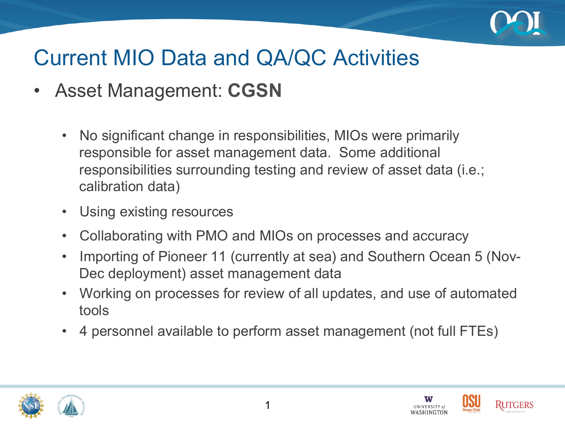

- Asset Management: **CGSN** 
	- No significant change in responsibilities, MIOs were primarily responsible for asset management data. Some additional responsibilities surrounding testing and review of asset data (i.e.; calibration data)
	- Using existing resources
	- Collaborating with PMO and MIOs on processes and accuracy
	- Importing of Pioneer 11 (currently at sea) and Southern Ocean 5 (Nov-Dec deployment) asset management data
	- Working on processes for review of all updates, and use of automated tools
	- 4 personnel available to perform asset management (not full FTEs)





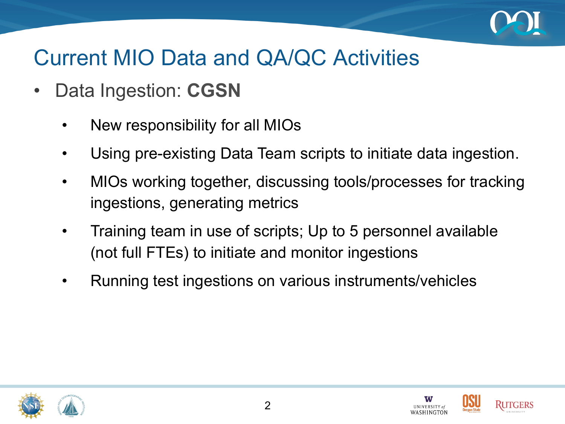

- Data Ingestion: **CGSN** 
	- New responsibility for all MIOs
	- Using pre-existing Data Team scripts to initiate data ingestion.
	- MIOs working together, discussing tools/processes for tracking ingestions, generating metrics
	- Training team in use of scripts; Up to 5 personnel available (not full FTEs) to initiate and monitor ingestions
	- Running test ingestions on various instruments/vehicles







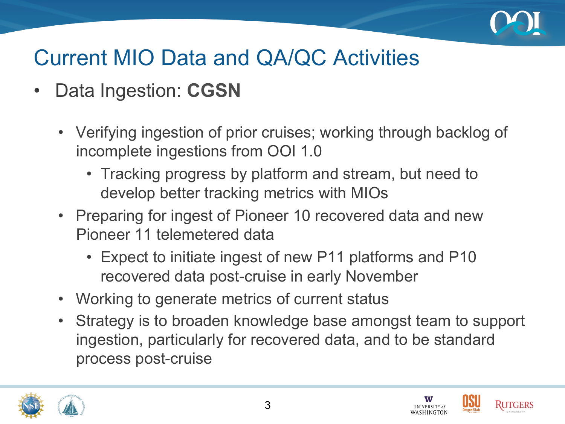

- Data Ingestion: **CGSN** 
	- Verifying ingestion of prior cruises; working through backlog of incomplete ingestions from OOI 1.0
		- Tracking progress by platform and stream, but need to develop better tracking metrics with MIOs
	- Preparing for ingest of Pioneer 10 recovered data and new Pioneer 11 telemetered data
		- Expect to initiate ingest of new P11 platforms and P10 recovered data post-cruise in early November
	- Working to generate metrics of current status
	- Strategy is to broaden knowledge base amongst team to support ingestion, particularly for recovered data, and to be standard process post-cruise





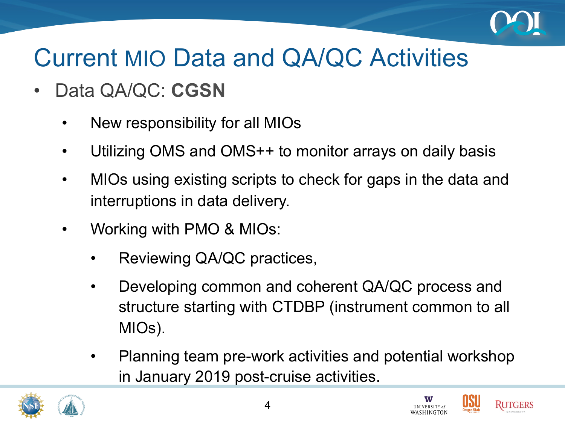

- Data QA/QC: **CGSN** 
	- New responsibility for all MIOs
	- Utilizing OMS and OMS++ to monitor arrays on daily basis
	- MIOs using existing scripts to check for gaps in the data and interruptions in data delivery.
	- Working with PMO & MIOs:
		- Reviewing QA/QC practices,
		- Developing common and coherent QA/QC process and structure starting with CTDBP (instrument common to all MIOs).
		- Planning team pre-work activities and potential workshop in January 2019 post-cruise activities.





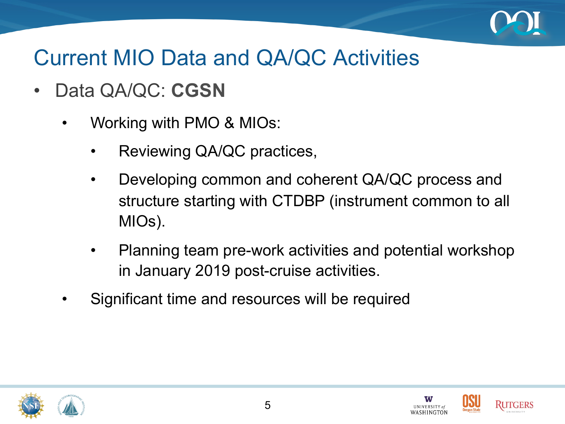

- Data QA/QC: **CGSN** 
	- Working with PMO & MIOs:
		- Reviewing QA/QC practices,
		- Developing common and coherent QA/QC process and structure starting with CTDBP (instrument common to all MIOs).
		- Planning team pre-work activities and potential workshop in January 2019 post-cruise activities.
	- Significant time and resources will be required







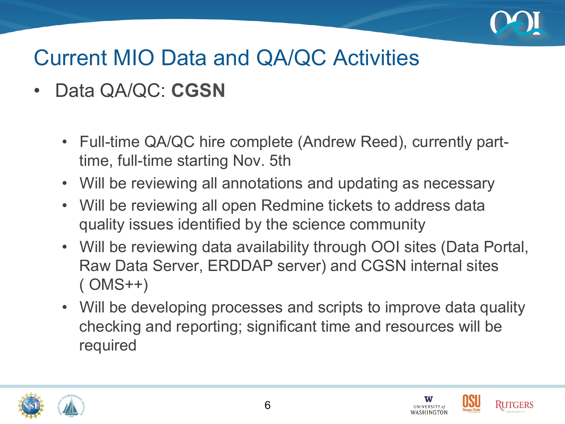

- Data QA/QC: **CGSN** 
	- Full-time QA/QC hire complete (Andrew Reed), currently parttime, full-time starting Nov. 5th
	- Will be reviewing all annotations and updating as necessary
	- Will be reviewing all open Redmine tickets to address data quality issues identified by the science community
	- Will be reviewing data availability through OOI sites (Data Portal, Raw Data Server, ERDDAP server) and CGSN internal sites ( OMS++)
	- Will be developing processes and scripts to improve data quality checking and reporting; significant time and resources will be required





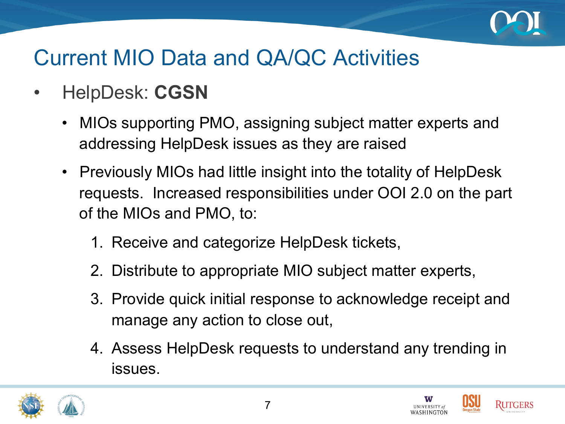

- HelpDesk: **CGSN** 
	- MIOs supporting PMO, assigning subject matter experts and addressing HelpDesk issues as they are raised
	- Previously MIOs had little insight into the totality of HelpDesk requests. Increased responsibilities under OOI 2.0 on the part of the MIOs and PMO, to:
		- 1. Receive and categorize HelpDesk tickets,
		- 2. Distribute to appropriate MIO subject matter experts,
		- 3. Provide quick initial response to acknowledge receipt and manage any action to close out,
		- 4. Assess HelpDesk requests to understand any trending in issues.